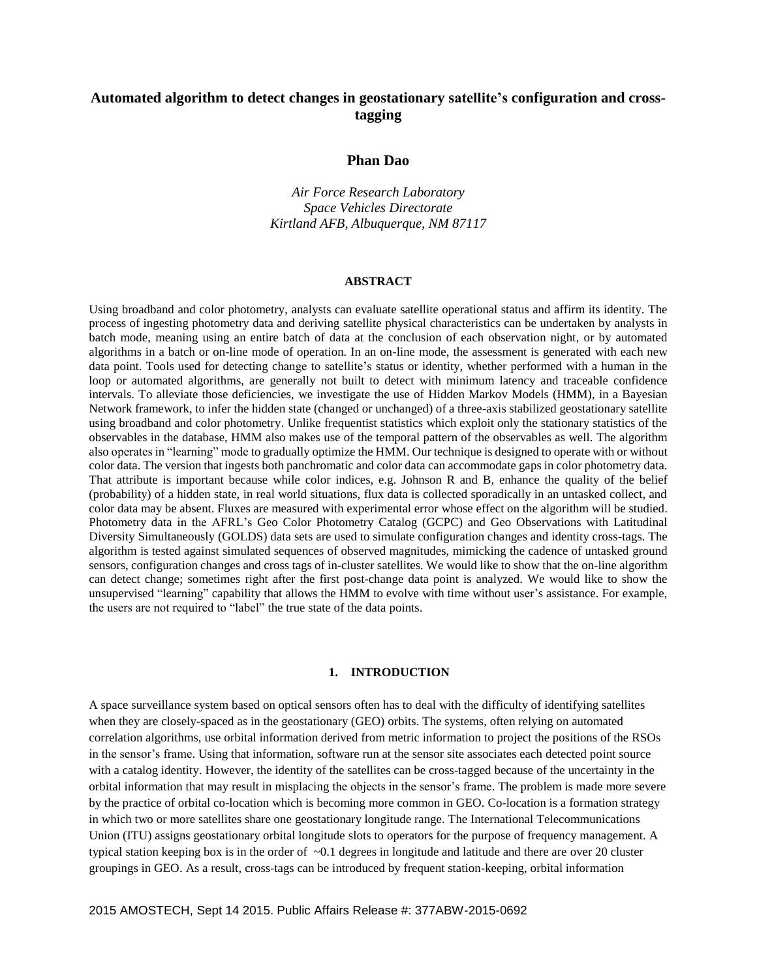# **Automated algorithm to detect changes in geostationary satellite's configuration and crosstagging**

# **Phan Dao**

*Air Force Research Laboratory Space Vehicles Directorate Kirtland AFB, Albuquerque, NM 87117*

#### **ABSTRACT**

Using broadband and color photometry, analysts can evaluate satellite operational status and affirm its identity. The process of ingesting photometry data and deriving satellite physical characteristics can be undertaken by analysts in batch mode, meaning using an entire batch of data at the conclusion of each observation night, or by automated algorithms in a batch or on-line mode of operation. In an on-line mode, the assessment is generated with each new data point. Tools used for detecting change to satellite's status or identity, whether performed with a human in the loop or automated algorithms, are generally not built to detect with minimum latency and traceable confidence intervals. To alleviate those deficiencies, we investigate the use of Hidden Markov Models (HMM), in a Bayesian Network framework, to infer the hidden state (changed or unchanged) of a three-axis stabilized geostationary satellite using broadband and color photometry. Unlike frequentist statistics which exploit only the stationary statistics of the observables in the database, HMM also makes use of the temporal pattern of the observables as well. The algorithm also operates in "learning" mode to gradually optimize the HMM. Our technique is designed to operate with or without color data. The version that ingests both panchromatic and color data can accommodate gaps in color photometry data. That attribute is important because while color indices, e.g. Johnson R and B, enhance the quality of the belief (probability) of a hidden state, in real world situations, flux data is collected sporadically in an untasked collect, and color data may be absent. Fluxes are measured with experimental error whose effect on the algorithm will be studied. Photometry data in the AFRL's Geo Color Photometry Catalog (GCPC) and Geo Observations with Latitudinal Diversity Simultaneously (GOLDS) data sets are used to simulate configuration changes and identity cross-tags. The algorithm is tested against simulated sequences of observed magnitudes, mimicking the cadence of untasked ground sensors, configuration changes and cross tags of in-cluster satellites. We would like to show that the on-line algorithm can detect change; sometimes right after the first post-change data point is analyzed. We would like to show the unsupervised "learning" capability that allows the HMM to evolve with time without user's assistance. For example, the users are not required to "label" the true state of the data points.

## **1. INTRODUCTION**

A space surveillance system based on optical sensors often has to deal with the difficulty of identifying satellites when they are closely-spaced as in the geostationary (GEO) orbits. The systems, often relying on automated correlation algorithms, use orbital information derived from metric information to project the positions of the RSOs in the sensor's frame. Using that information, software run at the sensor site associates each detected point source with a catalog identity. However, the identity of the satellites can be cross-tagged because of the uncertainty in the orbital information that may result in misplacing the objects in the sensor's frame. The problem is made more severe by the practice of orbital co-location which is becoming more common in GEO. Co-location is a formation strategy in which two or more satellites share one geostationary longitude range. The International Telecommunications Union (ITU) assigns geostationary orbital longitude slots to operators for the purpose of frequency management. A typical station keeping box is in the order of  $\sim 0.1$  degrees in longitude and latitude and there are over 20 cluster groupings in GEO. As a result, cross-tags can be introduced by frequent station-keeping, orbital information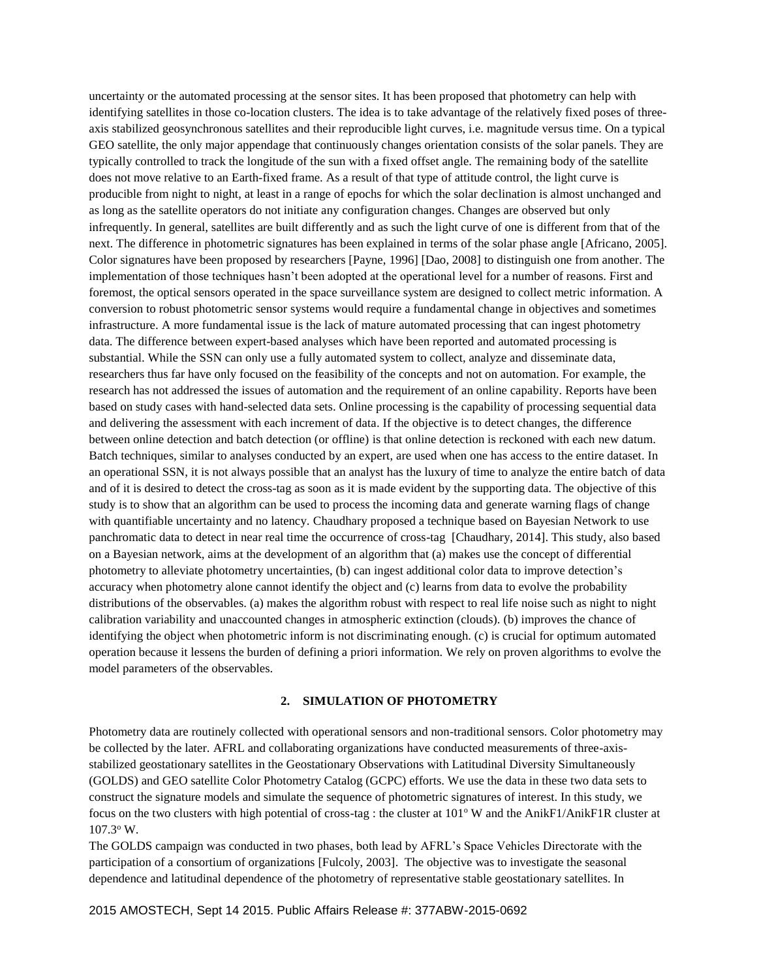uncertainty or the automated processing at the sensor sites. It has been proposed that photometry can help with identifying satellites in those co-location clusters. The idea is to take advantage of the relatively fixed poses of threeaxis stabilized geosynchronous satellites and their reproducible light curves, i.e. magnitude versus time. On a typical GEO satellite, the only major appendage that continuously changes orientation consists of the solar panels. They are typically controlled to track the longitude of the sun with a fixed offset angle. The remaining body of the satellite does not move relative to an Earth-fixed frame. As a result of that type of attitude control, the light curve is producible from night to night, at least in a range of epochs for which the solar declination is almost unchanged and as long as the satellite operators do not initiate any configuration changes. Changes are observed but only infrequently. In general, satellites are built differently and as such the light curve of one is different from that of the next. The difference in photometric signatures has been explained in terms of the solar phase angle [Africano, 2005]. Color signatures have been proposed by researchers [Payne, 1996] [Dao, 2008] to distinguish one from another. The implementation of those techniques hasn't been adopted at the operational level for a number of reasons. First and foremost, the optical sensors operated in the space surveillance system are designed to collect metric information. A conversion to robust photometric sensor systems would require a fundamental change in objectives and sometimes infrastructure. A more fundamental issue is the lack of mature automated processing that can ingest photometry data. The difference between expert-based analyses which have been reported and automated processing is substantial. While the SSN can only use a fully automated system to collect, analyze and disseminate data, researchers thus far have only focused on the feasibility of the concepts and not on automation. For example, the research has not addressed the issues of automation and the requirement of an online capability. Reports have been based on study cases with hand-selected data sets. Online processing is the capability of processing sequential data and delivering the assessment with each increment of data. If the objective is to detect changes, the difference between online detection and batch detection (or offline) is that online detection is reckoned with each new datum. Batch techniques, similar to analyses conducted by an expert, are used when one has access to the entire dataset. In an operational SSN, it is not always possible that an analyst has the luxury of time to analyze the entire batch of data and of it is desired to detect the cross-tag as soon as it is made evident by the supporting data. The objective of this study is to show that an algorithm can be used to process the incoming data and generate warning flags of change with quantifiable uncertainty and no latency. Chaudhary proposed a technique based on Bayesian Network to use panchromatic data to detect in near real time the occurrence of cross-tag [Chaudhary, 2014]. This study, also based on a Bayesian network, aims at the development of an algorithm that (a) makes use the concept of differential photometry to alleviate photometry uncertainties, (b) can ingest additional color data to improve detection's accuracy when photometry alone cannot identify the object and (c) learns from data to evolve the probability distributions of the observables. (a) makes the algorithm robust with respect to real life noise such as night to night calibration variability and unaccounted changes in atmospheric extinction (clouds). (b) improves the chance of identifying the object when photometric inform is not discriminating enough. (c) is crucial for optimum automated operation because it lessens the burden of defining a priori information. We rely on proven algorithms to evolve the model parameters of the observables.

## **2. SIMULATION OF PHOTOMETRY**

Photometry data are routinely collected with operational sensors and non-traditional sensors. Color photometry may be collected by the later. AFRL and collaborating organizations have conducted measurements of three-axisstabilized geostationary satellites in the Geostationary Observations with Latitudinal Diversity Simultaneously (GOLDS) and GEO satellite Color Photometry Catalog (GCPC) efforts. We use the data in these two data sets to construct the signature models and simulate the sequence of photometric signatures of interest. In this study, we focus on the two clusters with high potential of cross-tag : the cluster at  $101^\circ$  W and the AnikF1/AnikF1R cluster at 107.3<sup>o</sup> W.

The GOLDS campaign was conducted in two phases, both lead by AFRL's Space Vehicles Directorate with the participation of a consortium of organizations [Fulcoly, 2003]. The objective was to investigate the seasonal dependence and latitudinal dependence of the photometry of representative stable geostationary satellites. In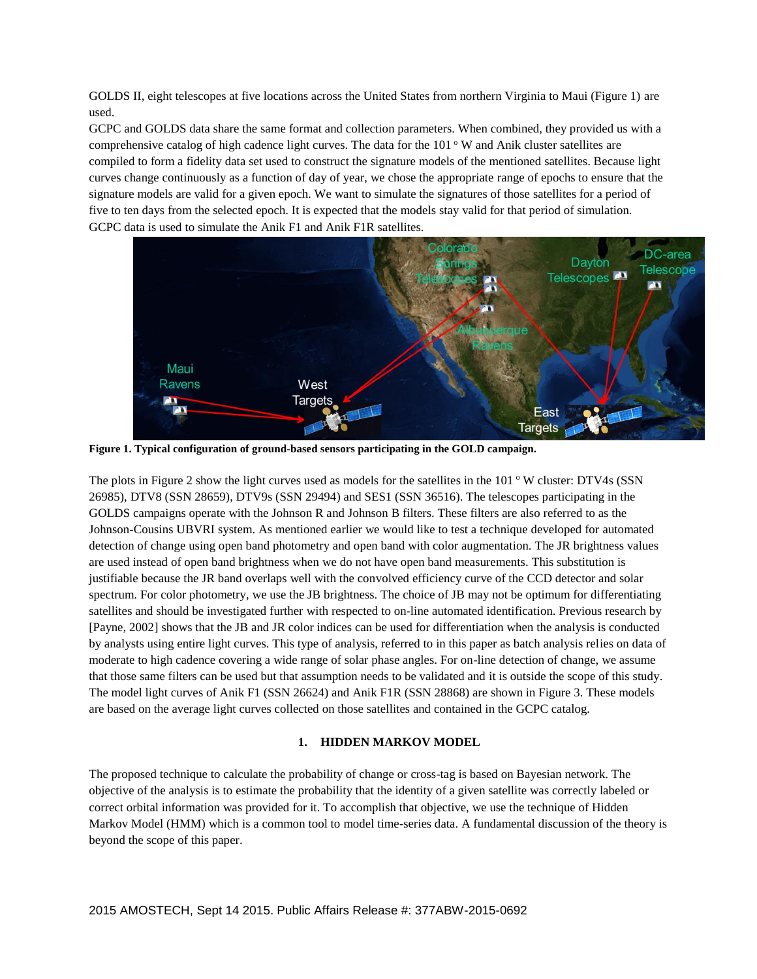GOLDS II, eight telescopes at five locations across the United States from northern Virginia to Maui (Figure 1) are used.

GCPC and GOLDS data share the same format and collection parameters. When combined, they provided us with a comprehensive catalog of high cadence light curves. The data for the  $101^\circ$  W and Anik cluster satellites are compiled to form a fidelity data set used to construct the signature models of the mentioned satellites. Because light curves change continuously as a function of day of year, we chose the appropriate range of epochs to ensure that the signature models are valid for a given epoch. We want to simulate the signatures of those satellites for a period of five to ten days from the selected epoch. It is expected that the models stay valid for that period of simulation. GCPC data is used to simulate the Anik F1 and Anik F1R satellites.



**Figure 1. Typical configuration of ground-based sensors participating in the GOLD campaign.**

The plots in Figure 2 show the light curves used as models for the satellites in the  $101^\circ$  W cluster: DTV4s (SSN) 26985), DTV8 (SSN 28659), DTV9s (SSN 29494) and SES1 (SSN 36516). The telescopes participating in the GOLDS campaigns operate with the Johnson R and Johnson B filters. These filters are also referred to as the Johnson-Cousins UBVRI system. As mentioned earlier we would like to test a technique developed for automated detection of change using open band photometry and open band with color augmentation. The JR brightness values are used instead of open band brightness when we do not have open band measurements. This substitution is justifiable because the JR band overlaps well with the convolved efficiency curve of the CCD detector and solar spectrum. For color photometry, we use the JB brightness. The choice of JB may not be optimum for differentiating satellites and should be investigated further with respected to on-line automated identification. Previous research by [Payne, 2002] shows that the JB and JR color indices can be used for differentiation when the analysis is conducted by analysts using entire light curves. This type of analysis, referred to in this paper as batch analysis relies on data of moderate to high cadence covering a wide range of solar phase angles. For on-line detection of change, we assume that those same filters can be used but that assumption needs to be validated and it is outside the scope of this study. The model light curves of Anik F1 (SSN 26624) and Anik F1R (SSN 28868) are shown in Figure 3. These models are based on the average light curves collected on those satellites and contained in the GCPC catalog.

# **1. HIDDEN MARKOV MODEL**

The proposed technique to calculate the probability of change or cross-tag is based on Bayesian network. The objective of the analysis is to estimate the probability that the identity of a given satellite was correctly labeled or correct orbital information was provided for it. To accomplish that objective, we use the technique of Hidden Markov Model (HMM) which is a common tool to model time-series data. A fundamental discussion of the theory is beyond the scope of this paper.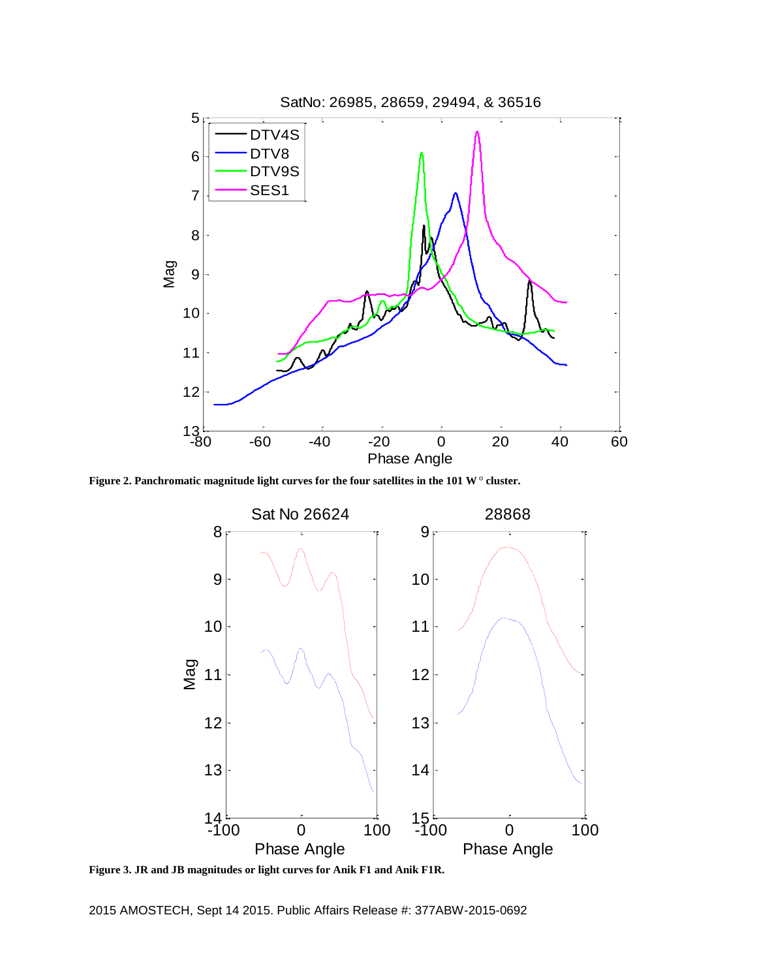

Figure 2. Panchromatic magnitude light curves for the four satellites in the 101 W  $^{\circ}$  cluster.



**Figure 3. JR and JB magnitudes or light curves for Anik F1 and Anik F1R.**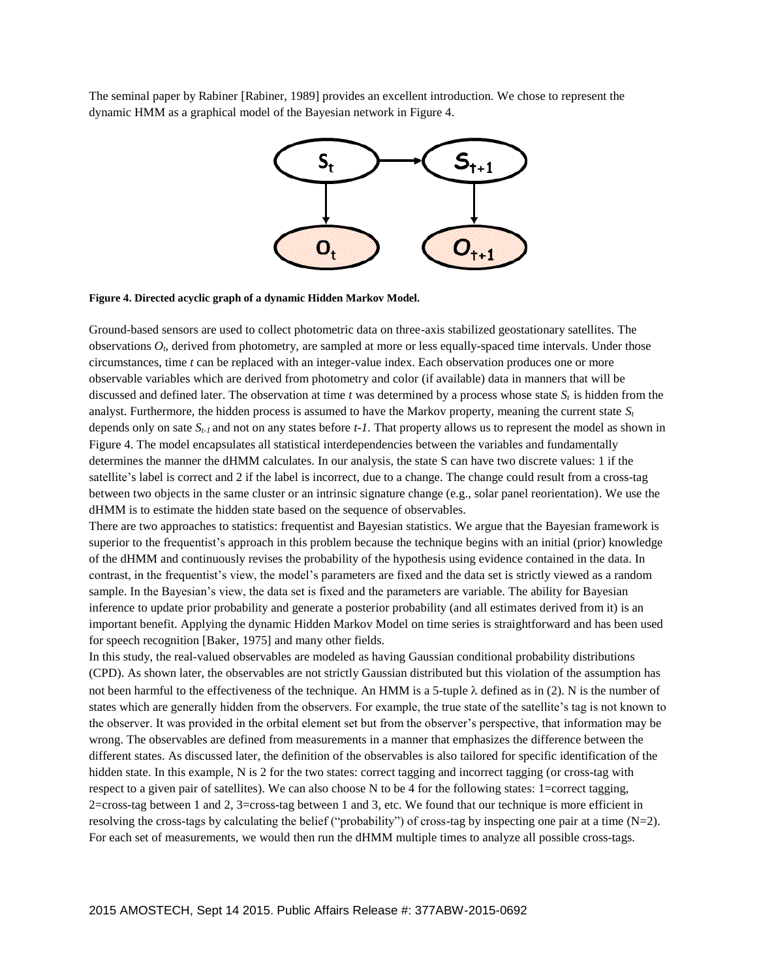The seminal paper by Rabiner [Rabiner, 1989] provides an excellent introduction. We chose to represent the dynamic HMM as a graphical model of the Bayesian network in Figure 4.



#### **Figure 4. Directed acyclic graph of a dynamic Hidden Markov Model.**

Ground-based sensors are used to collect photometric data on three-axis stabilized geostationary satellites. The observations *Ot*, derived from photometry, are sampled at more or less equally-spaced time intervals. Under those circumstances, time *t* can be replaced with an integer-value index. Each observation produces one or more observable variables which are derived from photometry and color (if available) data in manners that will be discussed and defined later. The observation at time  $t$  was determined by a process whose state  $S_t$  is hidden from the analyst. Furthermore, the hidden process is assumed to have the Markov property, meaning the current state  $S_t$ depends only on sate *St-1* and not on any states before *t-1.* That property allows us to represent the model as shown in Figure 4. The model encapsulates all statistical interdependencies between the variables and fundamentally determines the manner the dHMM calculates. In our analysis, the state S can have two discrete values: 1 if the satellite's label is correct and 2 if the label is incorrect, due to a change. The change could result from a cross-tag between two objects in the same cluster or an intrinsic signature change (e.g., solar panel reorientation). We use the dHMM is to estimate the hidden state based on the sequence of observables.

There are two approaches to statistics: frequentist and Bayesian statistics. We argue that the Bayesian framework is superior to the frequentist's approach in this problem because the technique begins with an initial (prior) knowledge of the dHMM and continuously revises the probability of the hypothesis using evidence contained in the data. In contrast, in the frequentist's view, the model's parameters are fixed and the data set is strictly viewed as a random sample. In the Bayesian's view, the data set is fixed and the parameters are variable. The ability for Bayesian inference to update prior probability and generate a posterior probability (and all estimates derived from it) is an important benefit. Applying the dynamic Hidden Markov Model on time series is straightforward and has been used for speech recognition [Baker, 1975] and many other fields.

In this study, the real-valued observables are modeled as having Gaussian conditional probability distributions (CPD). As shown later, the observables are not strictly Gaussian distributed but this violation of the assumption has not been harmful to the effectiveness of the technique. An HMM is a 5-tuple  $\lambda$  defined as in (2). N is the number of states which are generally hidden from the observers. For example, the true state of the satellite's tag is not known to the observer. It was provided in the orbital element set but from the observer's perspective, that information may be wrong. The observables are defined from measurements in a manner that emphasizes the difference between the different states. As discussed later, the definition of the observables is also tailored for specific identification of the hidden state. In this example, N is 2 for the two states: correct tagging and incorrect tagging (or cross-tag with respect to a given pair of satellites). We can also choose N to be 4 for the following states: 1=correct tagging, 2=cross-tag between 1 and 2, 3=cross-tag between 1 and 3, etc. We found that our technique is more efficient in resolving the cross-tags by calculating the belief ("probability") of cross-tag by inspecting one pair at a time  $(N=2)$ . For each set of measurements, we would then run the dHMM multiple times to analyze all possible cross-tags.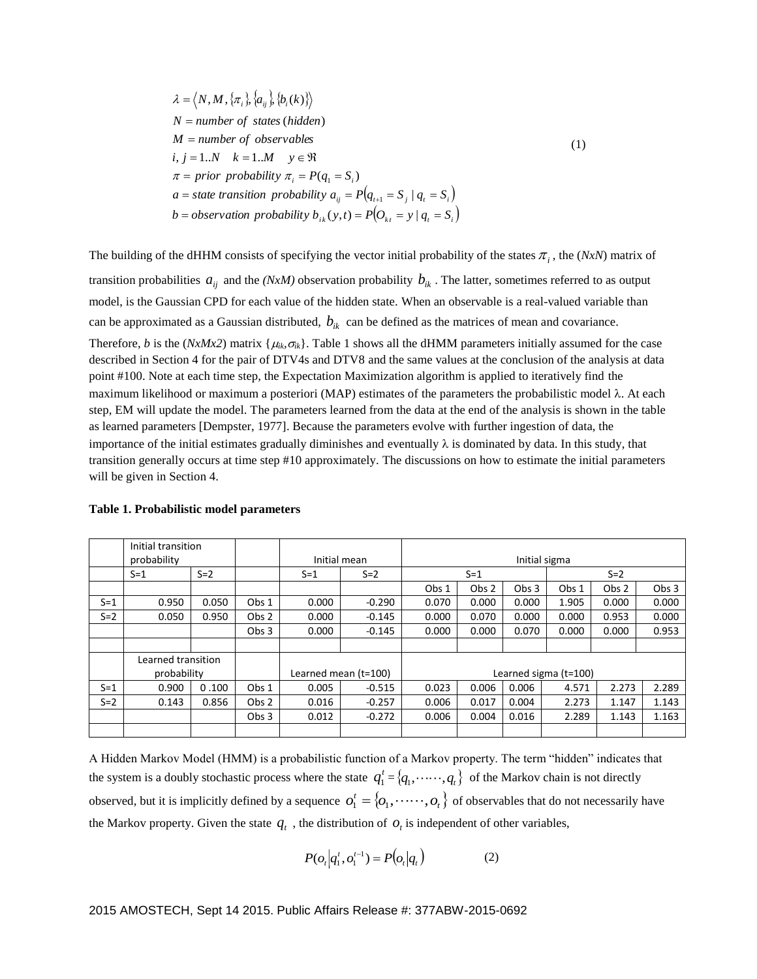$\lambda = \langle N, M, \{\pi_i\}, \{a_{ij}\}, \{b_i(k)\}\rangle$ *a* = *state transition probability*  $a_{ij} = P(q_{i+1} = S_j | q_i = S_i)$ *b* = *observation probability*  $b_{ik}(y,t) = P\left(O_{kt} = y \mid q_t = S_i\right)$  $\pi = \text{prior probability } \pi_i = P(q_i = S_i)$  $i, j = 1..N$   $k = 1..M$   $y \in \Re$ *M number of observables N* = number of states (hidden) (1)

The building of the dHHM consists of specifying the vector initial probability of the states  $\pi_i$ , the (*NxN*) matrix of transition probabilities  $a_{ij}$  and the *(NxM)* observation probability  $b_{ik}$ . The latter, sometimes referred to as output model, is the Gaussian CPD for each value of the hidden state. When an observable is a real-valued variable than can be approximated as a Gaussian distributed,  $b_{ik}$  can be defined as the matrices of mean and covariance.

Therefore, *b* is the (*NxMx2*) matrix { $\mu_k, \sigma_k$ }. Table 1 shows all the dHMM parameters initially assumed for the case described in Section 4 for the pair of DTV4s and DTV8 and the same values at the conclusion of the analysis at data point #100. Note at each time step, the Expectation Maximization algorithm is applied to iteratively find the maximum likelihood or maximum a posteriori (MAP) estimates of the parameters the probabilistic model  $\lambda$ . At each step, EM will update the model. The parameters learned from the data at the end of the analysis is shown in the table as learned parameters [Dempster, 1977]. Because the parameters evolve with further ingestion of data, the importance of the initial estimates gradually diminishes and eventually  $\lambda$  is dominated by data. In this study, that transition generally occurs at time step #10 approximately. The discussions on how to estimate the initial parameters will be given in Section 4.

|         | Initial transition |       |                  |                      |          |                         |                  |                  |       |                  |                  |
|---------|--------------------|-------|------------------|----------------------|----------|-------------------------|------------------|------------------|-------|------------------|------------------|
|         | probability        |       |                  | Initial mean         |          | Initial sigma           |                  |                  |       |                  |                  |
|         | $S=1$              | $S=2$ |                  | $S = 1$              | $S=2$    | $S = 1$                 |                  | $S=2$            |       |                  |                  |
|         |                    |       |                  |                      |          | Obs 1                   | Obs <sub>2</sub> | Obs <sub>3</sub> | Obs 1 | Obs <sub>2</sub> | Obs <sub>3</sub> |
| $S = 1$ | 0.950              | 0.050 | Obs 1            | 0.000                | $-0.290$ | 0.070                   | 0.000            | 0.000            | 1.905 | 0.000            | 0.000            |
| $S=2$   | 0.050              | 0.950 | Obs 2            | 0.000                | $-0.145$ | 0.000                   | 0.070            | 0.000            | 0.000 | 0.953            | 0.000            |
|         |                    |       | Obs <sub>3</sub> | 0.000                | $-0.145$ | 0.000                   | 0.000            | 0.070            | 0.000 | 0.000            | 0.953            |
|         |                    |       |                  |                      |          |                         |                  |                  |       |                  |                  |
|         | Learned transition |       |                  |                      |          |                         |                  |                  |       |                  |                  |
|         | probability        |       |                  | Learned mean (t=100) |          | Learned sigma $(t=100)$ |                  |                  |       |                  |                  |
| $S = 1$ | 0.900              | 0.100 | Obs 1            | 0.005                | $-0.515$ | 0.023                   | 0.006            | 0.006            | 4.571 | 2.273            | 2.289            |
| $S=2$   | 0.143              | 0.856 | Obs 2            | 0.016                | $-0.257$ | 0.006                   | 0.017            | 0.004            | 2.273 | 1.147            | 1.143            |
|         |                    |       | Obs <sub>3</sub> | 0.012                | $-0.272$ | 0.006                   | 0.004            | 0.016            | 2.289 | 1.143            | 1.163            |
|         |                    |       |                  |                      |          |                         |                  |                  |       |                  |                  |

### **Table 1. Probabilistic model parameters**

A Hidden Markov Model (HMM) is a probabilistic function of a Markov property. The term "hidden" indicates that the system is a doubly stochastic process where the state  $q_1^t = \{q_1, \dots, q_t\}$  of the Markov chain is not directly observed, but it is implicitly defined by a sequence  $o_1^t = \{o_1, \ldots \ldots, o_t\}$  of observables that do not necessarily have the Markov property. Given the state  $q_t$ , the distribution of  $o_t$  is independent of other variables,

$$
P(o_t | q_1^t, o_1^{t-1}) = P(o_t | q_t)
$$
 (2)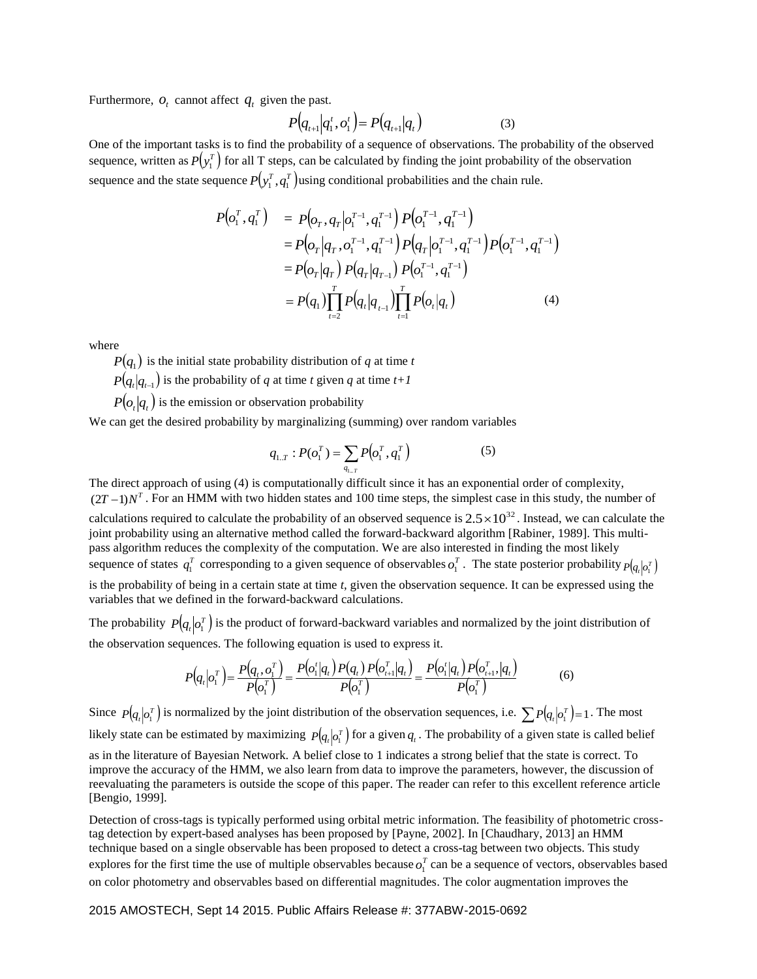Furthermore,  $o_t$  cannot affect  $q_t$  given the past.

$$
P(q_{t+1}|q_1^t, o_1^t) = P(q_{t+1}|q_t)
$$
\n(3)

One of the important tasks is to find the probability of a sequence of observations. The probability of the observed sequence, written as  $P(y_1^T)$  for all T steps, can be calculated by finding the joint probability of the observation sequence and the state sequence  $P(y_1^T, q_1^T)$  using conditional probabilities and the chain rule.

$$
P(o_i^T, q_i^T) = P(o_T, q_T | o_i^{T-1}, q_i^{T-1}) P(o_i^{T-1}, q_i^{T-1})
$$
  
\n
$$
= P(o_T | q_T, o_i^{T-1}, q_i^{T-1}) P(q_T | o_i^{T-1}, q_i^{T-1}) P(o_i^{T-1}, q_i^{T-1})
$$
  
\n
$$
= P(o_T | q_T) P(q_T | q_{T-1}) P(o_i^{T-1}, q_i^{T-1})
$$
  
\n
$$
= P(q_1) \prod_{t=2}^T P(q_t | q_{t-1}) \prod_{t=1}^T P(o_t | q_t)
$$
 (4)

where

[Bengio, 1999].

 $P(q_1)$  is the initial state probability distribution of *q* at time *t* 

 $P(q_t|q_{t-1})$  is the probability of *q* at time *t* given *q* at time *t*+1

 $P\left(o_t|q_t\right)$  is the emission or observation probability

We can get the desired probability by marginalizing (summing) over random variables

$$
q_{1,T} : P(o_1^T) = \sum_{q_{1,T}} P(o_1^T, q_1^T)
$$
 (5)

The direct approach of using (4) is computationally difficult since it has an exponential order of complexity,  $(2T-1)N^T$ . For an HMM with two hidden states and 100 time steps, the simplest case in this study, the number of calculations required to calculate the probability of an observed sequence is  $2.5 \times 10^{32}$ . Instead, we can calculate the joint probability using an alternative method called the forward-backward algorithm [Rabiner, 1989]. This multipass algorithm reduces the complexity of the computation. We are also interested in finding the most likely sequence of states  $q_1^T$  corresponding to a given sequence of observables  $o_1^T$ . The state posterior probability  $p_{q_i|o_1^T}$ is the probability of being in a certain state at time *t*, given the observation sequence. It can be expressed using the variables that we defined in the forward-backward calculations.

The probability  $P(q_t|o_1^T)$  is the product of forward-backward variables and normalized by the joint distribution of the observation sequences. The following equation is used to express it.

$$
P(q_t|o_1^T) = \frac{P(q_t, o_1^T)}{P(o_1^T)} = \frac{P(o_1'|q_t) P(q_t) P(o_{t+1}^T|q_t)}{P(o_1^T)} = \frac{P(o_1'|q_t) P(o_{t+1}^T|q_t)}{P(o_1^T)}
$$
(6)

Since  $P(q_t|o_t^T)$  is normalized by the joint distribution of the observation sequences, i.e.  $\sum P(q_t|o_t^T) = 1$ . The most likely state can be estimated by maximizing  $P(q_i|o_i^T)$  for a given  $q_i$ . The probability of a given state is called belief as in the literature of Bayesian Network. A belief close to 1 indicates a strong belief that the state is correct. To improve the accuracy of the HMM, we also learn from data to improve the parameters, however, the discussion of reevaluating the parameters is outside the scope of this paper. The reader can refer to this excellent reference article

Detection of cross-tags is typically performed using orbital metric information. The feasibility of photometric crosstag detection by expert-based analyses has been proposed by [Payne, 2002]. In [Chaudhary, 2013] an HMM technique based on a single observable has been proposed to detect a cross-tag between two objects. This study explores for the first time the use of multiple observables because  $o_1^T$  can be a sequence of vectors, observables based on color photometry and observables based on differential magnitudes. The color augmentation improves the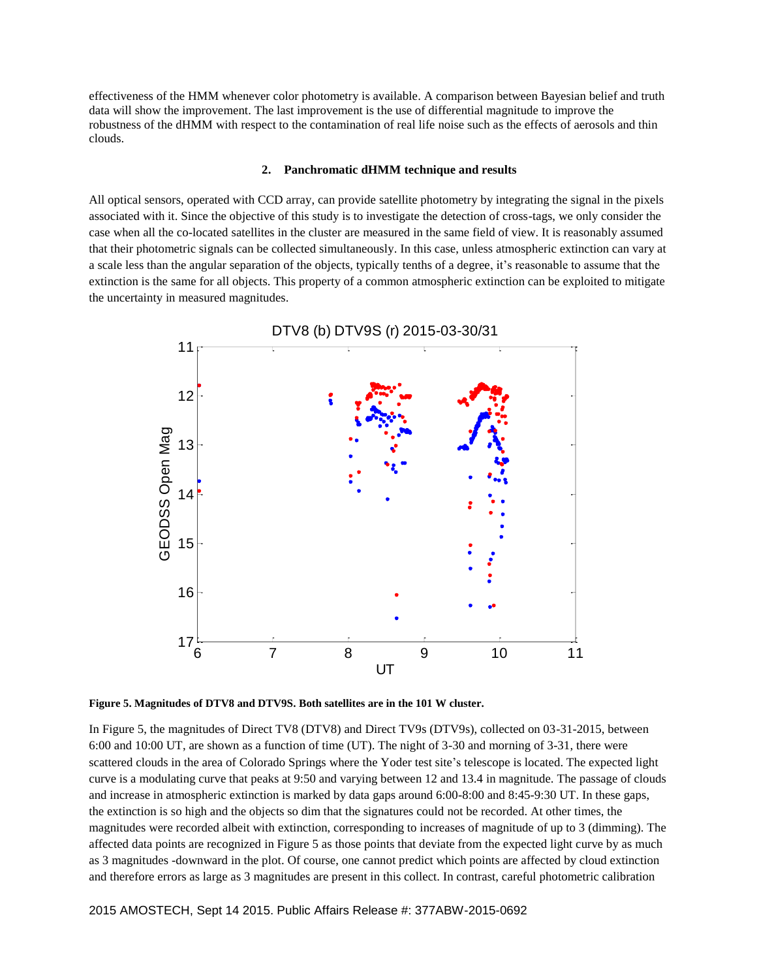effectiveness of the HMM whenever color photometry is available. A comparison between Bayesian belief and truth data will show the improvement. The last improvement is the use of differential magnitude to improve the robustness of the dHMM with respect to the contamination of real life noise such as the effects of aerosols and thin clouds.

#### **2. Panchromatic dHMM technique and results**

All optical sensors, operated with CCD array, can provide satellite photometry by integrating the signal in the pixels associated with it. Since the objective of this study is to investigate the detection of cross-tags, we only consider the case when all the co-located satellites in the cluster are measured in the same field of view. It is reasonably assumed that their photometric signals can be collected simultaneously. In this case, unless atmospheric extinction can vary at a scale less than the angular separation of the objects, typically tenths of a degree, it's reasonable to assume that the extinction is the same for all objects. This property of a common atmospheric extinction can be exploited to mitigate the uncertainty in measured magnitudes.



**Figure 5. Magnitudes of DTV8 and DTV9S. Both satellites are in the 101 W cluster.**

In Figure 5, the magnitudes of Direct TV8 (DTV8) and Direct TV9s (DTV9s), collected on 03-31-2015, between 6:00 and 10:00 UT, are shown as a function of time (UT). The night of 3-30 and morning of 3-31, there were scattered clouds in the area of Colorado Springs where the Yoder test site's telescope is located. The expected light curve is a modulating curve that peaks at 9:50 and varying between 12 and 13.4 in magnitude. The passage of clouds and increase in atmospheric extinction is marked by data gaps around 6:00-8:00 and 8:45-9:30 UT. In these gaps, the extinction is so high and the objects so dim that the signatures could not be recorded. At other times, the magnitudes were recorded albeit with extinction, corresponding to increases of magnitude of up to 3 (dimming). The affected data points are recognized in Figure 5 as those points that deviate from the expected light curve by as much as 3 magnitudes -downward in the plot. Of course, one cannot predict which points are affected by cloud extinction and therefore errors as large as 3 magnitudes are present in this collect. In contrast, careful photometric calibration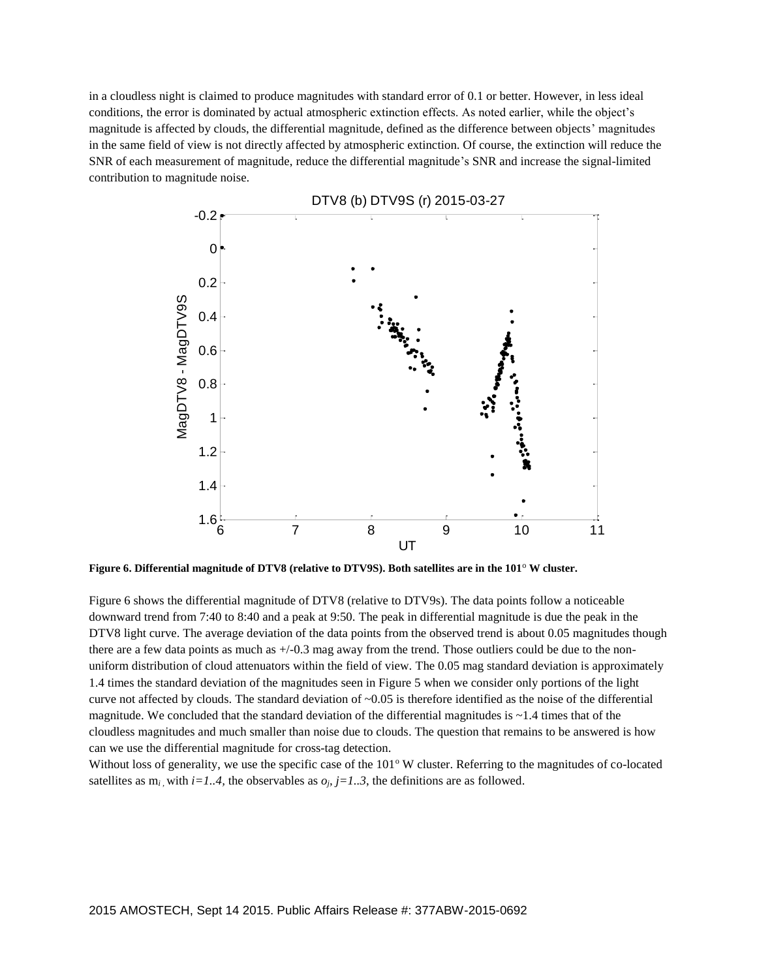in a cloudless night is claimed to produce magnitudes with standard error of 0.1 or better. However, in less ideal conditions, the error is dominated by actual atmospheric extinction effects. As noted earlier, while the object's magnitude is affected by clouds, the differential magnitude, defined as the difference between objects' magnitudes in the same field of view is not directly affected by atmospheric extinction. Of course, the extinction will reduce the SNR of each measurement of magnitude, reduce the differential magnitude's SNR and increase the signal-limited contribution to magnitude noise.



**Figure 6. Differential magnitude of DTV8 (relative to DTV9S). Both satellites are in the 101**<sup>o</sup> **W cluster.**

Figure 6 shows the differential magnitude of DTV8 (relative to DTV9s). The data points follow a noticeable downward trend from 7:40 to 8:40 and a peak at 9:50. The peak in differential magnitude is due the peak in the DTV8 light curve. The average deviation of the data points from the observed trend is about 0.05 magnitudes though there are a few data points as much as  $+/-0.3$  mag away from the trend. Those outliers could be due to the nonuniform distribution of cloud attenuators within the field of view. The 0.05 mag standard deviation is approximately 1.4 times the standard deviation of the magnitudes seen in Figure 5 when we consider only portions of the light curve not affected by clouds. The standard deviation of  $\sim 0.05$  is therefore identified as the noise of the differential magnitude. We concluded that the standard deviation of the differential magnitudes is  $\sim$  1.4 times that of the cloudless magnitudes and much smaller than noise due to clouds. The question that remains to be answered is how can we use the differential magnitude for cross-tag detection.

Without loss of generality, we use the specific case of the  $101^\circ$  W cluster. Referring to the magnitudes of co-located satellites as  $m_i$ , with  $i=1..4$ , the observables as  $o_j$ ,  $j=1..3$ , the definitions are as followed.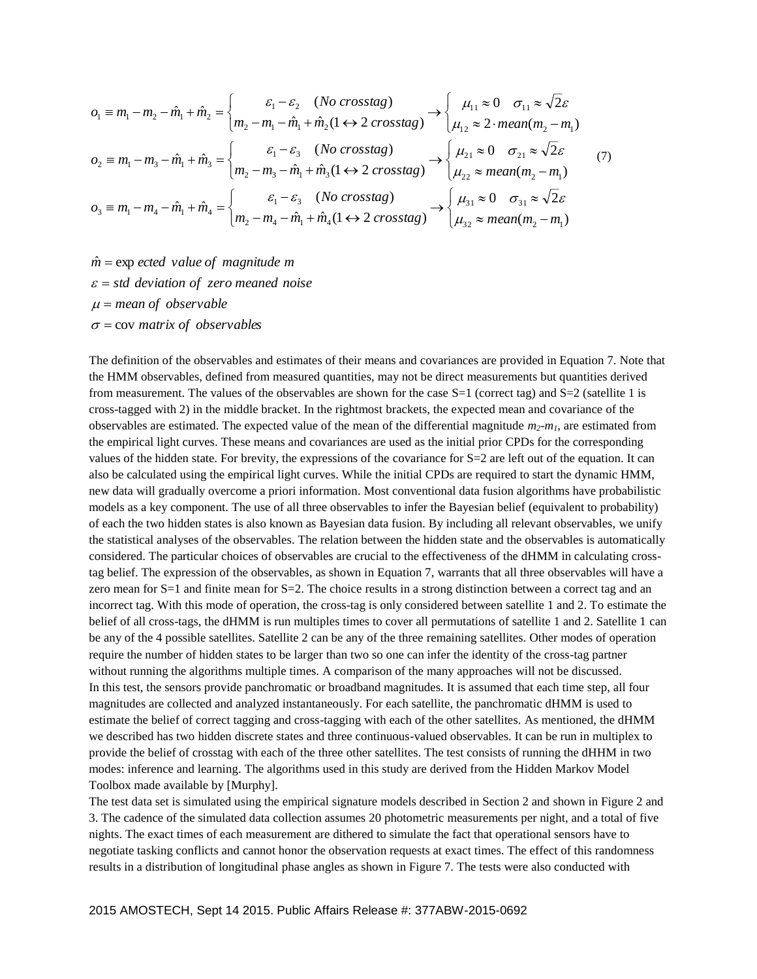$$
o_1 \equiv m_1 - m_2 - \hat{m}_1 + \hat{m}_2 = \begin{cases} \varepsilon_1 - \varepsilon_2 & (No\ crosstag) \\ m_2 - m_1 - \hat{m}_1 + \hat{m}_2(1 \leftrightarrow 2\ crosstag) \end{cases} \rightarrow \begin{cases} \mu_{11} \approx 0 & \sigma_{11} \approx \sqrt{2}\varepsilon \\ \mu_{12} \approx 2 \cdot mean(m_2 - m_1) \end{cases}
$$
  
\n
$$
o_2 \equiv m_1 - m_3 - \hat{m}_1 + \hat{m}_3 = \begin{cases} \varepsilon_1 - \varepsilon_3 & (No\ crosstag) \\ m_2 - m_3 - \hat{m}_1 + \hat{m}_3(1 \leftrightarrow 2\ crosstag) \end{cases} \rightarrow \begin{cases} \mu_{21} \approx 0 & \sigma_{21} \approx \sqrt{2}\varepsilon \\ \mu_{22} \approx mean(m_2 - m_1) \end{cases}
$$
  
\n
$$
o_3 \equiv m_1 - m_4 - \hat{m}_1 + \hat{m}_4 = \begin{cases} \varepsilon_1 - \varepsilon_3 & (No\ crosstag) \\ m_2 - m_4 - \hat{m}_1 + \hat{m}_4(1 \leftrightarrow 2\ crosstag) \end{cases} \rightarrow \begin{cases} \mu_{31} \approx 0 & \sigma_{31} \approx \sqrt{2}\varepsilon \\ \mu_{32} \approx mean(m_2 - m_1) \end{cases}
$$

 $\sigma$  = cov *matrix of observables mean of observable std deviation of zero meaned noise <sup>m</sup> ected value of magnitude <sup>m</sup>* ˆ exp

The definition of the observables and estimates of their means and covariances are provided in Equation 7. Note that the HMM observables, defined from measured quantities, may not be direct measurements but quantities derived from measurement. The values of the observables are shown for the case  $S=1$  (correct tag) and  $S=2$  (satellite 1 is cross-tagged with 2) in the middle bracket. In the rightmost brackets, the expected mean and covariance of the observables are estimated. The expected value of the mean of the differential magnitude *m2-m1*, are estimated from the empirical light curves. These means and covariances are used as the initial prior CPDs for the corresponding values of the hidden state. For brevity, the expressions of the covariance for S=2 are left out of the equation. It can also be calculated using the empirical light curves. While the initial CPDs are required to start the dynamic HMM, new data will gradually overcome a priori information. Most conventional data fusion algorithms have probabilistic models as a key component. The use of all three observables to infer the Bayesian belief (equivalent to probability) of each the two hidden states is also known as Bayesian data fusion. By including all relevant observables, we unify the statistical analyses of the observables. The relation between the hidden state and the observables is automatically considered. The particular choices of observables are crucial to the effectiveness of the dHMM in calculating crosstag belief. The expression of the observables, as shown in Equation 7, warrants that all three observables will have a zero mean for S=1 and finite mean for S=2. The choice results in a strong distinction between a correct tag and an incorrect tag. With this mode of operation, the cross-tag is only considered between satellite 1 and 2. To estimate the belief of all cross-tags, the dHMM is run multiples times to cover all permutations of satellite 1 and 2. Satellite 1 can be any of the 4 possible satellites. Satellite 2 can be any of the three remaining satellites. Other modes of operation require the number of hidden states to be larger than two so one can infer the identity of the cross-tag partner without running the algorithms multiple times. A comparison of the many approaches will not be discussed. In this test, the sensors provide panchromatic or broadband magnitudes. It is assumed that each time step, all four magnitudes are collected and analyzed instantaneously. For each satellite, the panchromatic dHMM is used to estimate the belief of correct tagging and cross-tagging with each of the other satellites. As mentioned, the dHMM we described has two hidden discrete states and three continuous-valued observables. It can be run in multiplex to provide the belief of crosstag with each of the three other satellites. The test consists of running the dHHM in two modes: inference and learning. The algorithms used in this study are derived from the Hidden Markov Model Toolbox made available by [Murphy].

The test data set is simulated using the empirical signature models described in Section 2 and shown in Figure 2 and 3. The cadence of the simulated data collection assumes 20 photometric measurements per night, and a total of five nights. The exact times of each measurement are dithered to simulate the fact that operational sensors have to negotiate tasking conflicts and cannot honor the observation requests at exact times. The effect of this randomness results in a distribution of longitudinal phase angles as shown in Figure 7. The tests were also conducted with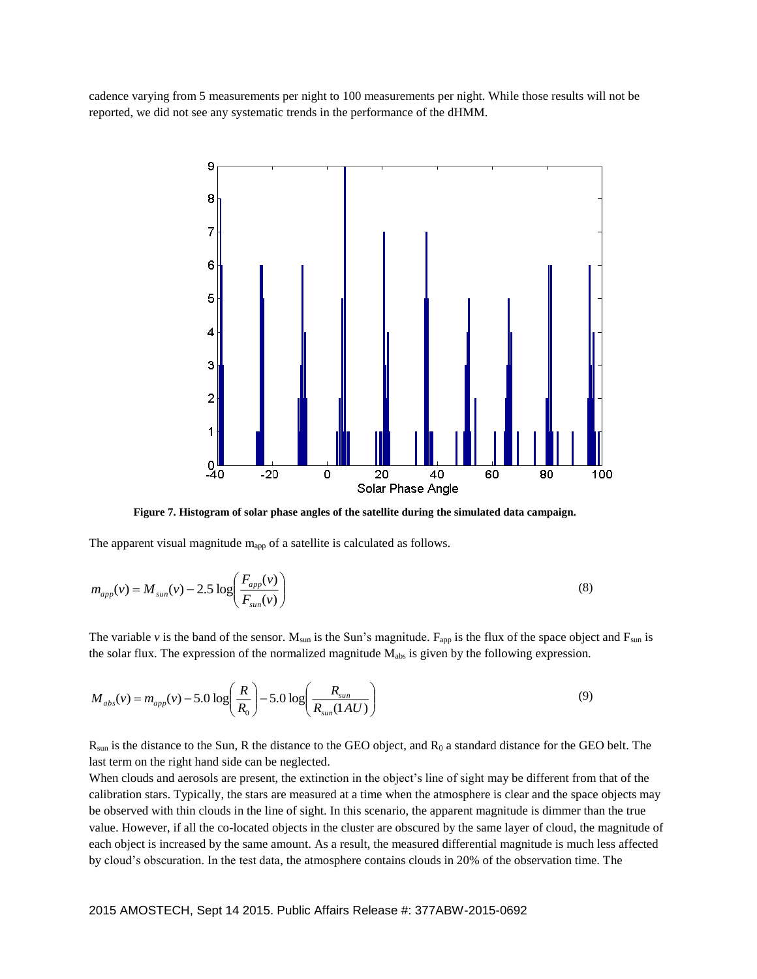cadence varying from 5 measurements per night to 100 measurements per night. While those results will not be reported, we did not see any systematic trends in the performance of the dHMM.



**Figure 7. Histogram of solar phase angles of the satellite during the simulated data campaign.**

The apparent visual magnitude  $m_{app}$  of a satellite is calculated as follows.

$$
m_{app}(v) = M_{sun}(v) - 2.5 \log \left( \frac{F_{app}(v)}{F_{sun}(v)} \right)
$$
 (8)

The variable  $v$  is the band of the sensor.  $M_{sun}$  is the Sun's magnitude.  $F_{app}$  is the flux of the space object and  $F_{sun}$  is the solar flux. The expression of the normalized magnitude  $M_{abs}$  is given by the following expression.

$$
M_{abs}(v) = m_{app}(v) - 5.0 \log \left(\frac{R}{R_0}\right) - 5.0 \log \left(\frac{R_{sun}}{R_{sun}(1 AU)}\right)
$$
(9)

 $R_{sun}$  is the distance to the Sun, R the distance to the GEO object, and  $R_0$  a standard distance for the GEO belt. The last term on the right hand side can be neglected.

When clouds and aerosols are present, the extinction in the object's line of sight may be different from that of the calibration stars. Typically, the stars are measured at a time when the atmosphere is clear and the space objects may be observed with thin clouds in the line of sight. In this scenario, the apparent magnitude is dimmer than the true value. However, if all the co-located objects in the cluster are obscured by the same layer of cloud, the magnitude of each object is increased by the same amount. As a result, the measured differential magnitude is much less affected by cloud's obscuration. In the test data, the atmosphere contains clouds in 20% of the observation time. The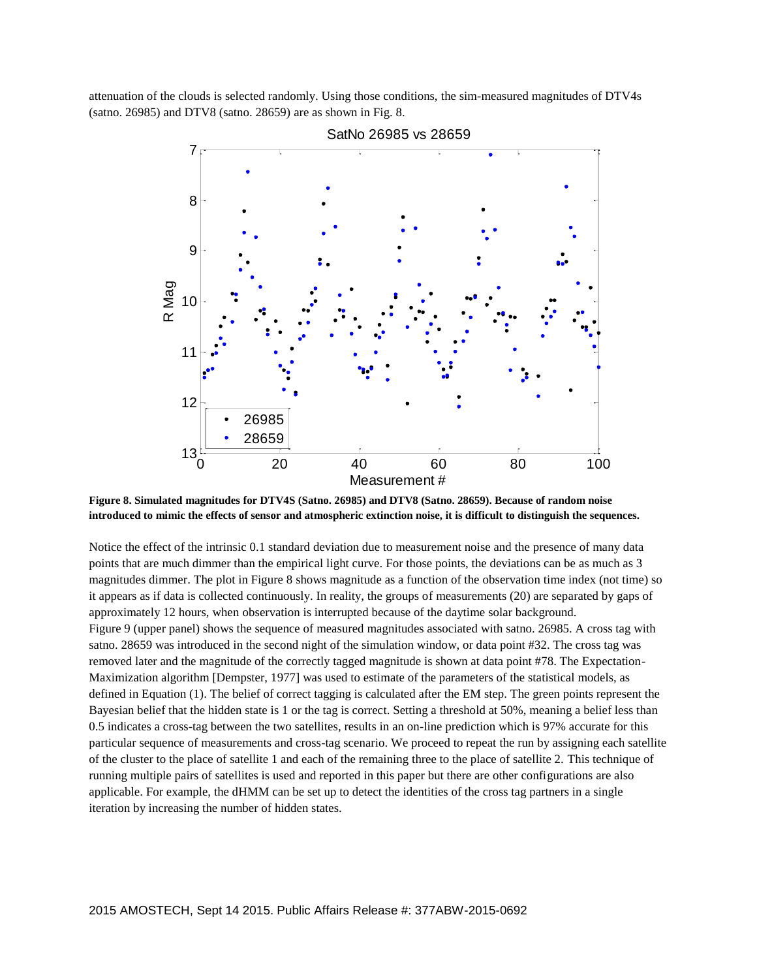attenuation of the clouds is selected randomly. Using those conditions, the sim-measured magnitudes of DTV4s (satno. 26985) and DTV8 (satno. 28659) are as shown in Fig. 8.



SatNo 26985 vs 28659

**Figure 8. Simulated magnitudes for DTV4S (Satno. 26985) and DTV8 (Satno. 28659). Because of random noise introduced to mimic the effects of sensor and atmospheric extinction noise, it is difficult to distinguish the sequences.**

Notice the effect of the intrinsic 0.1 standard deviation due to measurement noise and the presence of many data points that are much dimmer than the empirical light curve. For those points, the deviations can be as much as 3 magnitudes dimmer. The plot in Figure 8 shows magnitude as a function of the observation time index (not time) so it appears as if data is collected continuously. In reality, the groups of measurements (20) are separated by gaps of approximately 12 hours, when observation is interrupted because of the daytime solar background. Figure 9 (upper panel) shows the sequence of measured magnitudes associated with satno. 26985. A cross tag with satno. 28659 was introduced in the second night of the simulation window, or data point #32. The cross tag was removed later and the magnitude of the correctly tagged magnitude is shown at data point #78. The Expectation-Maximization algorithm [Dempster, 1977] was used to estimate of the parameters of the statistical models, as defined in Equation (1). The belief of correct tagging is calculated after the EM step. The green points represent the Bayesian belief that the hidden state is 1 or the tag is correct. Setting a threshold at 50%, meaning a belief less than 0.5 indicates a cross-tag between the two satellites, results in an on-line prediction which is 97% accurate for this particular sequence of measurements and cross-tag scenario. We proceed to repeat the run by assigning each satellite of the cluster to the place of satellite 1 and each of the remaining three to the place of satellite 2. This technique of running multiple pairs of satellites is used and reported in this paper but there are other configurations are also applicable. For example, the dHMM can be set up to detect the identities of the cross tag partners in a single iteration by increasing the number of hidden states.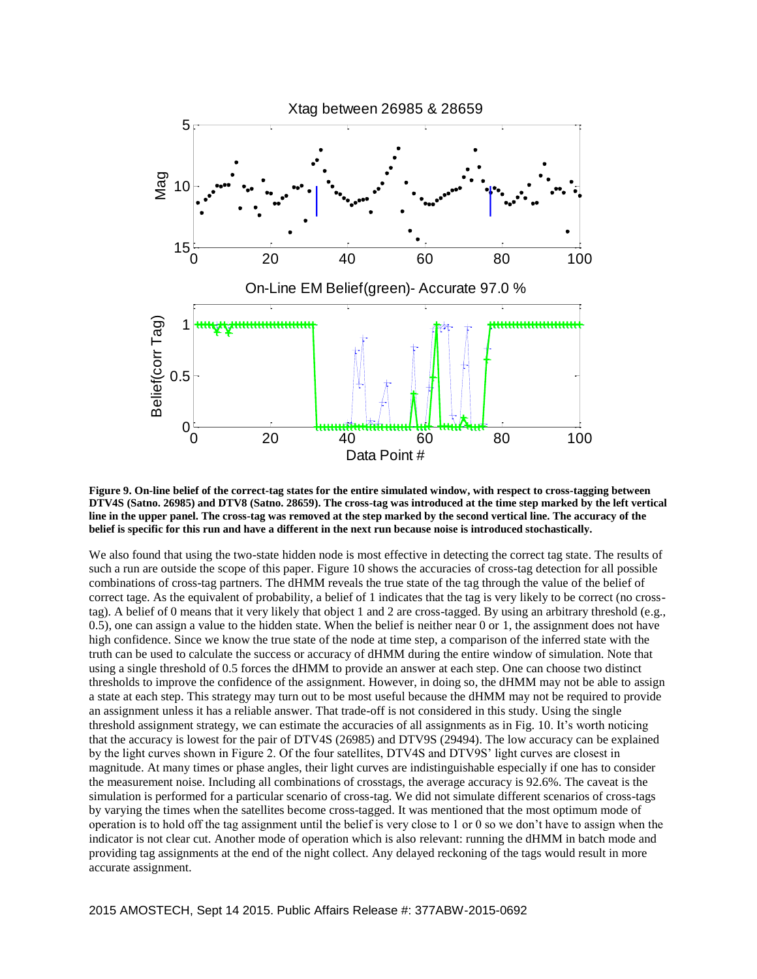

**Figure 9. On-line belief of the correct-tag states for the entire simulated window, with respect to cross-tagging between DTV4S (Satno. 26985) and DTV8 (Satno. 28659). The cross-tag was introduced at the time step marked by the left vertical line in the upper panel. The cross-tag was removed at the step marked by the second vertical line. The accuracy of the belief is specific for this run and have a different in the next run because noise is introduced stochastically.** 

We also found that using the two-state hidden node is most effective in detecting the correct tag state. The results of such a run are outside the scope of this paper. Figure 10 shows the accuracies of cross-tag detection for all possible combinations of cross-tag partners. The dHMM reveals the true state of the tag through the value of the belief of correct tage. As the equivalent of probability, a belief of 1 indicates that the tag is very likely to be correct (no crosstag). A belief of 0 means that it very likely that object 1 and 2 are cross-tagged. By using an arbitrary threshold (e.g., 0.5), one can assign a value to the hidden state. When the belief is neither near 0 or 1, the assignment does not have high confidence. Since we know the true state of the node at time step, a comparison of the inferred state with the truth can be used to calculate the success or accuracy of dHMM during the entire window of simulation. Note that using a single threshold of 0.5 forces the dHMM to provide an answer at each step. One can choose two distinct thresholds to improve the confidence of the assignment. However, in doing so, the dHMM may not be able to assign a state at each step. This strategy may turn out to be most useful because the dHMM may not be required to provide an assignment unless it has a reliable answer. That trade-off is not considered in this study. Using the single threshold assignment strategy, we can estimate the accuracies of all assignments as in Fig. 10. It's worth noticing that the accuracy is lowest for the pair of DTV4S (26985) and DTV9S (29494). The low accuracy can be explained by the light curves shown in Figure 2. Of the four satellites, DTV4S and DTV9S' light curves are closest in magnitude. At many times or phase angles, their light curves are indistinguishable especially if one has to consider the measurement noise. Including all combinations of crosstags, the average accuracy is 92.6%. The caveat is the simulation is performed for a particular scenario of cross-tag. We did not simulate different scenarios of cross-tags by varying the times when the satellites become cross-tagged. It was mentioned that the most optimum mode of operation is to hold off the tag assignment until the belief is very close to 1 or 0 so we don't have to assign when the indicator is not clear cut. Another mode of operation which is also relevant: running the dHMM in batch mode and providing tag assignments at the end of the night collect. Any delayed reckoning of the tags would result in more accurate assignment.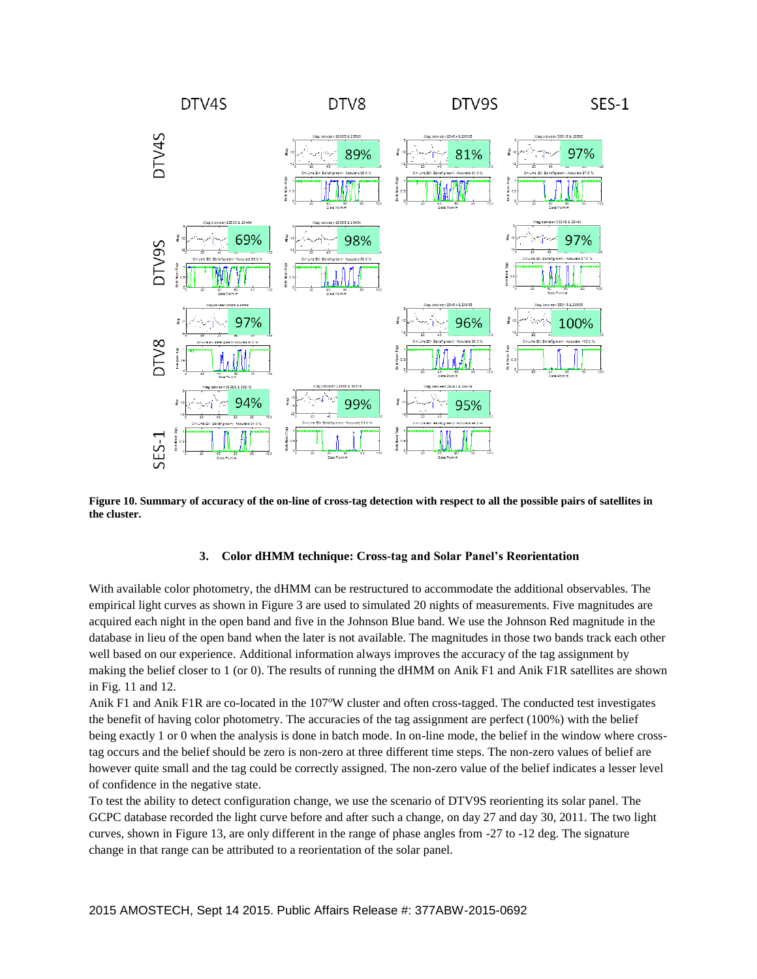

**Figure 10. Summary of accuracy of the on-line of cross-tag detection with respect to all the possible pairs of satellites in the cluster.**

### **3. Color dHMM technique: Cross-tag and Solar Panel's Reorientation**

With available color photometry, the dHMM can be restructured to accommodate the additional observables. The empirical light curves as shown in Figure 3 are used to simulated 20 nights of measurements. Five magnitudes are acquired each night in the open band and five in the Johnson Blue band. We use the Johnson Red magnitude in the database in lieu of the open band when the later is not available. The magnitudes in those two bands track each other well based on our experience. Additional information always improves the accuracy of the tag assignment by making the belief closer to 1 (or 0). The results of running the dHMM on Anik F1 and Anik F1R satellites are shown in Fig. 11 and 12.

Anik F1 and Anik F1R are co-located in the 107°W cluster and often cross-tagged. The conducted test investigates the benefit of having color photometry. The accuracies of the tag assignment are perfect (100%) with the belief being exactly 1 or 0 when the analysis is done in batch mode. In on-line mode, the belief in the window where crosstag occurs and the belief should be zero is non-zero at three different time steps. The non-zero values of belief are however quite small and the tag could be correctly assigned. The non-zero value of the belief indicates a lesser level of confidence in the negative state.

To test the ability to detect configuration change, we use the scenario of DTV9S reorienting its solar panel. The GCPC database recorded the light curve before and after such a change, on day 27 and day 30, 2011. The two light curves, shown in Figure 13, are only different in the range of phase angles from -27 to -12 deg. The signature change in that range can be attributed to a reorientation of the solar panel.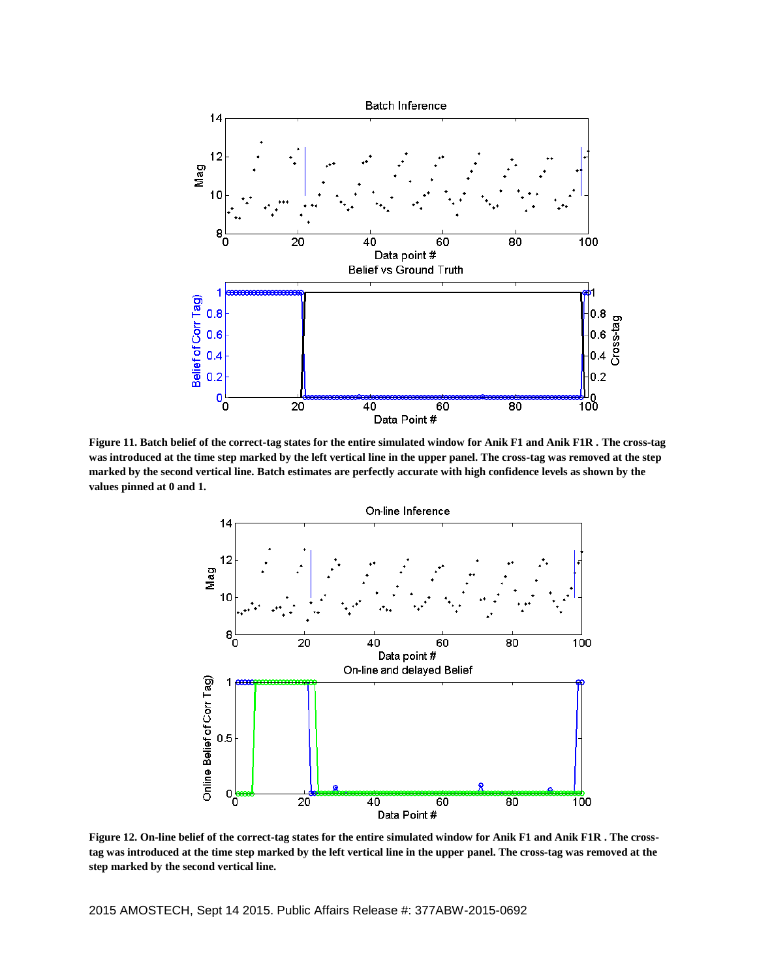

**Figure 11. Batch belief of the correct-tag states for the entire simulated window for Anik F1 and Anik F1R . The cross-tag was introduced at the time step marked by the left vertical line in the upper panel. The cross-tag was removed at the step marked by the second vertical line. Batch estimates are perfectly accurate with high confidence levels as shown by the values pinned at 0 and 1.**



**Figure 12. On-line belief of the correct-tag states for the entire simulated window for Anik F1 and Anik F1R . The crosstag was introduced at the time step marked by the left vertical line in the upper panel. The cross-tag was removed at the step marked by the second vertical line.**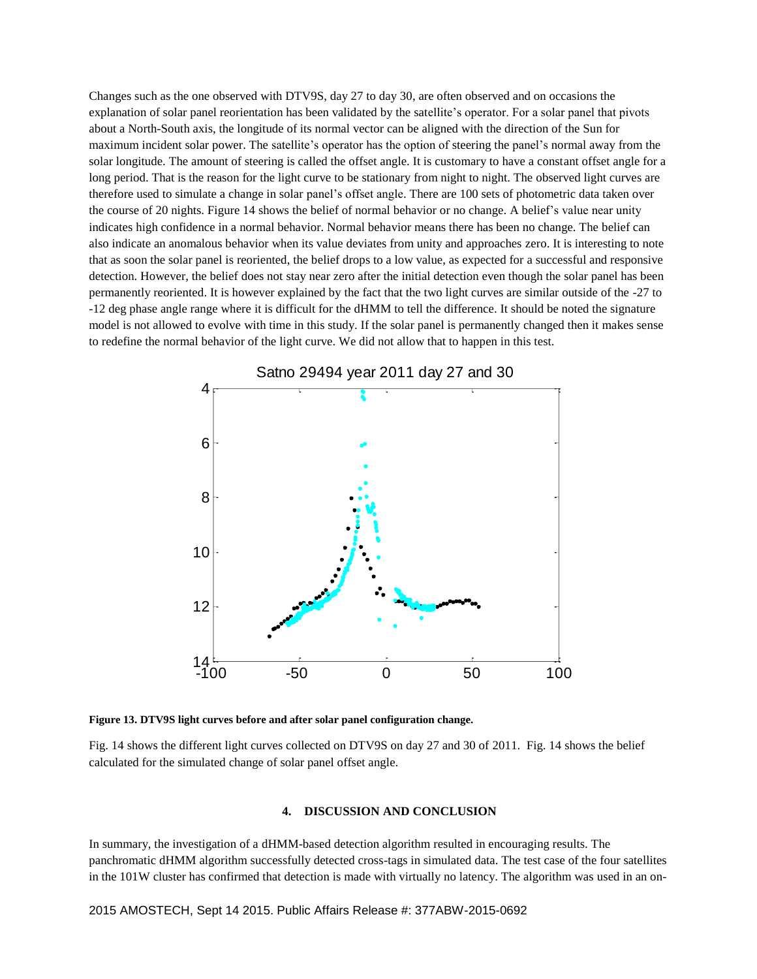Changes such as the one observed with DTV9S, day 27 to day 30, are often observed and on occasions the explanation of solar panel reorientation has been validated by the satellite's operator. For a solar panel that pivots about a North-South axis, the longitude of its normal vector can be aligned with the direction of the Sun for maximum incident solar power. The satellite's operator has the option of steering the panel's normal away from the solar longitude. The amount of steering is called the offset angle. It is customary to have a constant offset angle for a long period. That is the reason for the light curve to be stationary from night to night. The observed light curves are therefore used to simulate a change in solar panel's offset angle. There are 100 sets of photometric data taken over the course of 20 nights. Figure 14 shows the belief of normal behavior or no change. A belief's value near unity indicates high confidence in a normal behavior. Normal behavior means there has been no change. The belief can also indicate an anomalous behavior when its value deviates from unity and approaches zero. It is interesting to note that as soon the solar panel is reoriented, the belief drops to a low value, as expected for a successful and responsive detection. However, the belief does not stay near zero after the initial detection even though the solar panel has been permanently reoriented. It is however explained by the fact that the two light curves are similar outside of the -27 to -12 deg phase angle range where it is difficult for the dHMM to tell the difference. It should be noted the signature model is not allowed to evolve with time in this study. If the solar panel is permanently changed then it makes sense to redefine the normal behavior of the light curve. We did not allow that to happen in this test.



**Figure 13. DTV9S light curves before and after solar panel configuration change.**

Fig. 14 shows the different light curves collected on DTV9S on day 27 and 30 of 2011. Fig. 14 shows the belief calculated for the simulated change of solar panel offset angle.

## **4. DISCUSSION AND CONCLUSION**

In summary, the investigation of a dHMM-based detection algorithm resulted in encouraging results. The panchromatic dHMM algorithm successfully detected cross-tags in simulated data. The test case of the four satellites in the 101W cluster has confirmed that detection is made with virtually no latency. The algorithm was used in an on-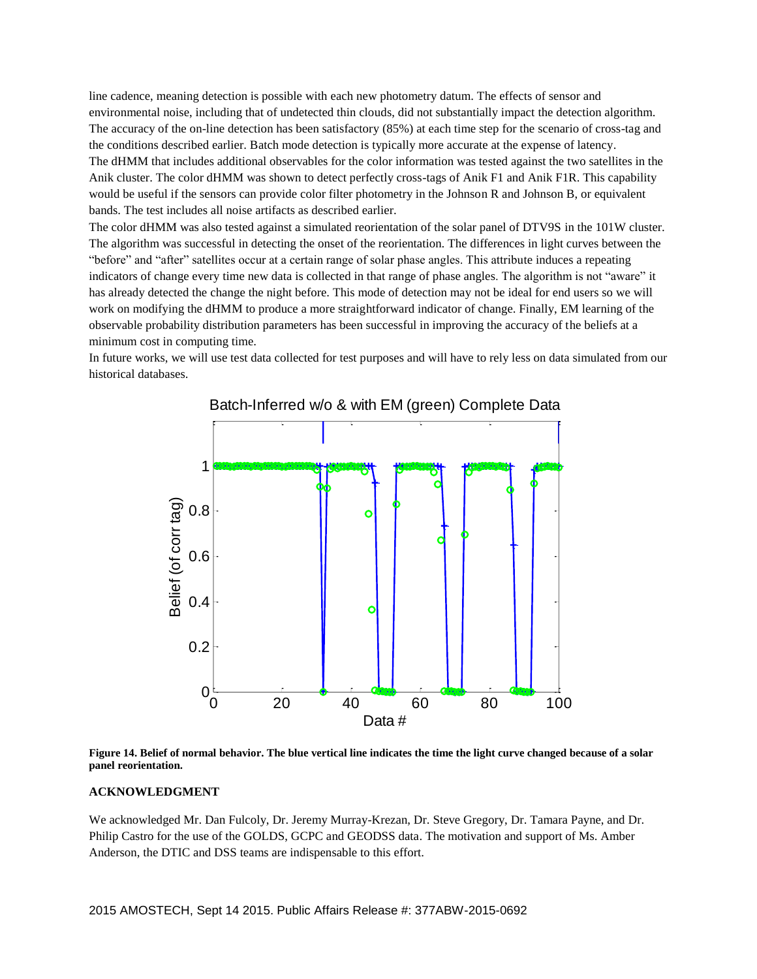line cadence, meaning detection is possible with each new photometry datum. The effects of sensor and environmental noise, including that of undetected thin clouds, did not substantially impact the detection algorithm. The accuracy of the on-line detection has been satisfactory (85%) at each time step for the scenario of cross-tag and the conditions described earlier. Batch mode detection is typically more accurate at the expense of latency. The dHMM that includes additional observables for the color information was tested against the two satellites in the Anik cluster. The color dHMM was shown to detect perfectly cross-tags of Anik F1 and Anik F1R. This capability would be useful if the sensors can provide color filter photometry in the Johnson R and Johnson B, or equivalent bands. The test includes all noise artifacts as described earlier.

The color dHMM was also tested against a simulated reorientation of the solar panel of DTV9S in the 101W cluster. The algorithm was successful in detecting the onset of the reorientation. The differences in light curves between the "before" and "after" satellites occur at a certain range of solar phase angles. This attribute induces a repeating indicators of change every time new data is collected in that range of phase angles. The algorithm is not "aware" it has already detected the change the night before. This mode of detection may not be ideal for end users so we will work on modifying the dHMM to produce a more straightforward indicator of change. Finally, EM learning of the observable probability distribution parameters has been successful in improving the accuracy of the beliefs at a minimum cost in computing time.

In future works, we will use test data collected for test purposes and will have to rely less on data simulated from our historical databases.



**Figure 14. Belief of normal behavior. The blue vertical line indicates the time the light curve changed because of a solar panel reorientation.**

## **ACKNOWLEDGMENT**

We acknowledged Mr. Dan Fulcoly, Dr. Jeremy Murray-Krezan, Dr. Steve Gregory, Dr. Tamara Payne, and Dr. Philip Castro for the use of the GOLDS, GCPC and GEODSS data. The motivation and support of Ms. Amber Anderson, the DTIC and DSS teams are indispensable to this effort.